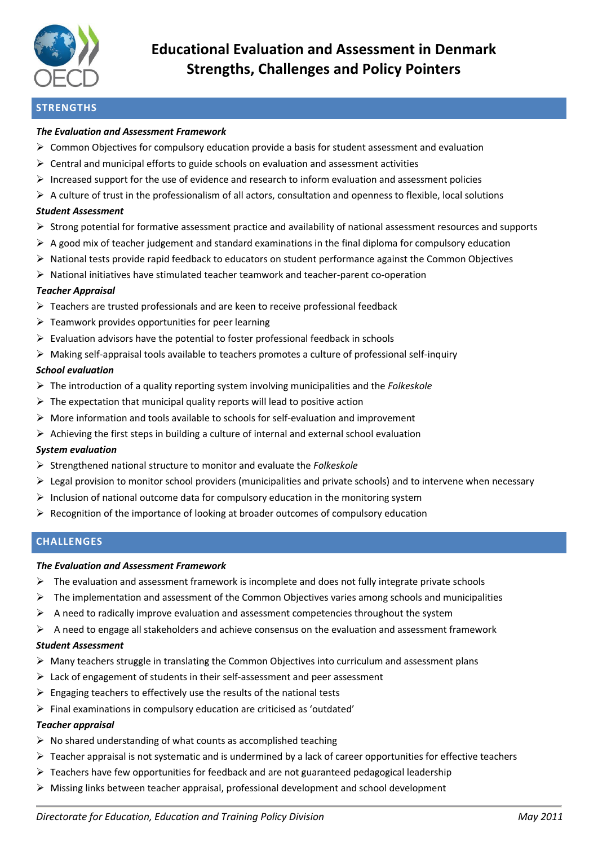

# **Educational Evaluation and Assessment in Denmark Strengths, Challenges and Policy Pointers**

### **STRENGTHS**

#### *The Evaluation and Assessment Framework*

- $\triangleright$  Common Objectives for compulsory education provide a basis for student assessment and evaluation
- $\triangleright$  Central and municipal efforts to guide schools on evaluation and assessment activities
- $\triangleright$  Increased support for the use of evidence and research to inform evaluation and assessment policies
- $\triangleright$  A culture of trust in the professionalism of all actors, consultation and openness to flexible, local solutions

#### *Student Assessment*

- Strong potential for formative assessment practice and availability of national assessment resources and supports
- $\triangleright$  A good mix of teacher judgement and standard examinations in the final diploma for compulsory education
- $\triangleright$  National tests provide rapid feedback to educators on student performance against the Common Objectives
- $\triangleright$  National initiatives have stimulated teacher teamwork and teacher-parent co-operation

#### *Teacher Appraisal*

- $\triangleright$  Teachers are trusted professionals and are keen to receive professional feedback
- $\triangleright$  Teamwork provides opportunities for peer learning
- $\triangleright$  Evaluation advisors have the potential to foster professional feedback in schools
- $\triangleright$  Making self-appraisal tools available to teachers promotes a culture of professional self-inquiry

#### *School evaluation*

- The introduction of a quality reporting system involving municipalities and the *Folkeskole*
- $\triangleright$  The expectation that municipal quality reports will lead to positive action
- $\triangleright$  More information and tools available to schools for self-evaluation and improvement
- $\triangleright$  Achieving the first steps in building a culture of internal and external school evaluation

#### *System evaluation*

- Strengthened national structure to monitor and evaluate the *Folkeskole*
- $\triangleright$  Legal provision to monitor school providers (municipalities and private schools) and to intervene when necessary
- $\triangleright$  Inclusion of national outcome data for compulsory education in the monitoring system
- $\triangleright$  Recognition of the importance of looking at broader outcomes of compulsory education

#### **CHALLENGES**

#### *The Evaluation and Assessment Framework*

- $\triangleright$  The evaluation and assessment framework is incomplete and does not fully integrate private schools
- $\triangleright$  The implementation and assessment of the Common Objectives varies among schools and municipalities
- $\triangleright$  A need to radically improve evaluation and assessment competencies throughout the system
- $\triangleright$  A need to engage all stakeholders and achieve consensus on the evaluation and assessment framework

#### *Student Assessment*

- $\triangleright$  Many teachers struggle in translating the Common Objectives into curriculum and assessment plans
- $\triangleright$  Lack of engagement of students in their self-assessment and peer assessment
- $\triangleright$  Engaging teachers to effectively use the results of the national tests
- $\triangleright$  Final examinations in compulsory education are criticised as 'outdated'

#### *Teacher appraisal*

- $\triangleright$  No shared understanding of what counts as accomplished teaching
- $\triangleright$  Teacher appraisal is not systematic and is undermined by a lack of career opportunities for effective teachers
- $\triangleright$  Teachers have few opportunities for feedback and are not guaranteed pedagogical leadership
- $\triangleright$  Missing links between teacher appraisal, professional development and school development